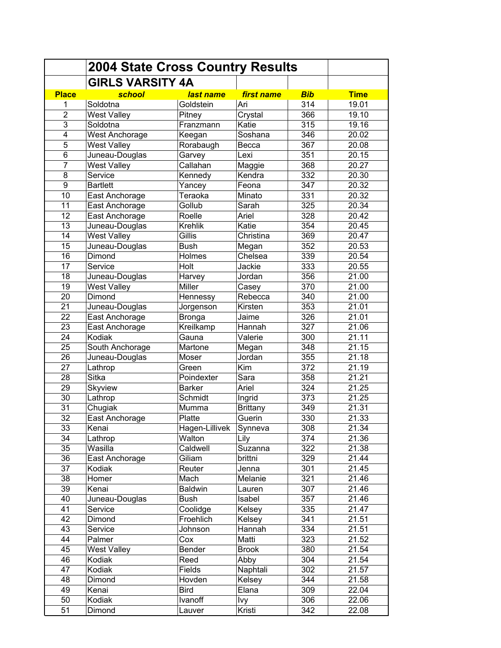|                | <b>2004 State Cross Country Results</b> |                |                 |            |                    |
|----------------|-----------------------------------------|----------------|-----------------|------------|--------------------|
|                | <b>GIRLS VARSITY 4A</b>                 |                |                 |            |                    |
| <b>Place</b>   | school                                  | last name      | first name      | <b>Bib</b> | <b>Time</b>        |
| 1              | Soldotna                                | Goldstein      | Ari             | 314        | 19.01              |
| $\overline{2}$ | <b>West Valley</b>                      | Pitney         | Crystal         | 366        | 19.10              |
| 3              | Soldotna                                | Franzmann      | Katie           | 315        | 19.16              |
| 4              | <b>West Anchorage</b>                   | Keegan         | Soshana         | 346        | 20.02              |
| 5              | <b>West Valley</b>                      | Rorabaugh      | Becca           | 367        | 20.08              |
| 6              | Juneau-Douglas                          | Garvey         | Lexi            | 351        | 20.15              |
| $\overline{7}$ | <b>West Valley</b>                      | Callahan       | Maggie          | 368        | 20.27              |
| 8              | Service                                 | Kennedy        | Kendra          | 332        | 20.30              |
| 9              | <b>Bartlett</b>                         | Yancey         | Feona           | 347        | 20.32              |
| 10             | East Anchorage                          | Teraoka        | Minato          | 331        | 20.32              |
| 11             | East Anchorage                          | Gollub         | Sarah           | 325        | 20.34              |
| 12             | East Anchorage                          | Roelle         | Ariel           | 328        | 20.42              |
| 13             | Juneau-Douglas                          | <b>Krehlik</b> | Katie           | 354        | 20.45              |
| 14             | <b>West Valley</b>                      | Gillis         | Christina       | 369        | 20.47              |
| 15             | Juneau-Douglas                          | <b>Bush</b>    | Megan           | 352        | 20.53              |
| 16             | Dimond                                  | Holmes         | Chelsea         | 339        | 20.54              |
| 17             | Service                                 | Holt           | Jackie          | 333        | 20.55              |
| 18             | Juneau-Douglas                          | Harvey         | Jordan          | 356        | $\overline{2}1.00$ |
| 19             | <b>West Valley</b>                      | Miller         | Casey           | 370        | 21.00              |
| 20             | Dimond                                  | Hennessy       | Rebecca         | 340        | 21.00              |
| 21             | Juneau-Douglas                          | Jorgenson      | Kirsten         | 353        | 21.01              |
| 22             | East Anchorage                          | <b>Bronga</b>  | Jaime           | 326        | 21.01              |
| 23             | East Anchorage                          | Kreilkamp      | Hannah          | 327        | 21.06              |
| 24             | Kodiak                                  | Gauna          | Valerie         | 300        | 21.11              |
| 25             | South Anchorage                         | Martone        | Megan           | 348        | 21.15              |
| 26             | Juneau-Douglas                          | Moser          | Jordan          | 355        | 21.18              |
| 27             |                                         |                | Kim             | 372        | 21.19              |
|                | Lathrop<br>Sitka                        | Green          |                 |            |                    |
| 28             |                                         | Poindexter     | Sara<br>Ariel   | 358        | 21.21              |
| 29             | <b>Skyview</b>                          | <b>Barker</b>  |                 | 324<br>373 | 21.25              |
| 30             | Lathrop                                 | Schmidt        | Ingrid          |            | 21.25              |
| 31             | Chugiak                                 | Mumma          | <b>Brittany</b> | 349        | 21.31              |
| 32             | East Anchorage                          | Platte         | Guerin          | 330        | 21.33              |
| 33             | Kenai                                   | Hagen-Lillivek | Synneva         | 308        | 21.34              |
| 34             | Lathrop                                 | Walton         | Lily            | 374        | 21.36              |
| 35             | Wasilla                                 | Caldwell       | Suzanna         | 322        | 21.38              |
| 36             | East Anchorage                          | Giliam         | brittni         | 329        | 21.44              |
| 37             | Kodiak                                  | Reuter         | Jenna           | 301        | 21.45              |
| 38             | Homer                                   | Mach           | Melanie         | 321        | 21.46              |
| 39             | Kenai                                   | <b>Baldwin</b> | Lauren          | 307        | 21.46              |
| 40             | Juneau-Douglas                          | <b>Bush</b>    | Isabel          | 357        | 21.46              |
| 41             | Service                                 | Coolidge       | Kelsey          | 335        | 21.47              |
| 42             | Dimond                                  | Froehlich      | Kelsey          | 341        | 21.51              |
| 43             | Service                                 | Johnson        | Hannah          | 334        | 21.51              |
| 44             | Palmer                                  | Cox            | Matti           | 323        | 21.52              |
| 45             | <b>West Valley</b>                      | <b>Bender</b>  | <b>Brook</b>    | 380        | 21.54              |
| 46             | Kodiak                                  | Reed           | Abby            | 304        | 21.54              |
| 47             | Kodiak                                  | Fields         | Naphtali        | 302        | 21.57              |
| 48             | Dimond                                  | Hovden         | Kelsey          | 344        | 21.58              |
| 49             | Kenai                                   | <b>Bird</b>    | Elana           | 309        | 22.04              |
| 50             | Kodiak                                  | Ivanoff        | Ivy             | 306        | 22.06              |
| 51             | Dimond                                  | Lauver         | Kristi          | 342        | 22.08              |